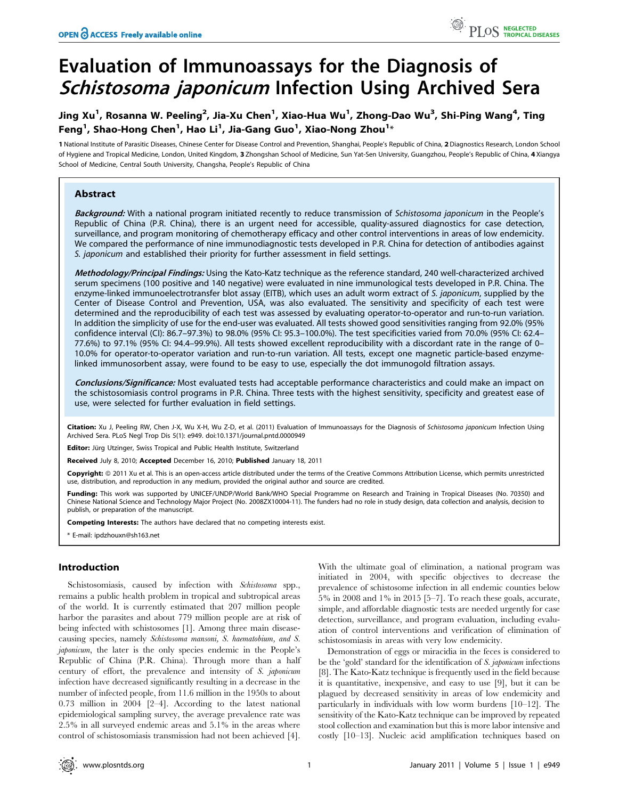# Evaluation of Immunoassays for the Diagnosis of Schistosoma japonicum Infection Using Archived Sera

## Jing Xu<sup>1</sup>, Rosanna W. Peeling<sup>2</sup>, Jia-Xu Chen<sup>1</sup>, Xiao-Hua Wu<sup>1</sup>, Zhong-Dao Wu<sup>3</sup>, Shi-Ping Wang<sup>4</sup>, Ting Feng<sup>1</sup>, Shao-Hong Chen<sup>1</sup>, Hao Li<sup>1</sup>, Jia-Gang Guo<sup>1</sup>, Xiao-Nong Zhou<sup>1</sup>\*

1 National Institute of Parasitic Diseases, Chinese Center for Disease Control and Prevention, Shanghai, People's Republic of China, 2 Diagnostics Research, London School of Hygiene and Tropical Medicine, London, United Kingdom, 3 Zhongshan School of Medicine, Sun Yat-Sen University, Guangzhou, People's Republic of China, 4 Xiangya School of Medicine, Central South University, Changsha, People's Republic of China

## Abstract

Background: With a national program initiated recently to reduce transmission of Schistosoma japonicum in the People's Republic of China (P.R. China), there is an urgent need for accessible, quality-assured diagnostics for case detection, surveillance, and program monitoring of chemotherapy efficacy and other control interventions in areas of low endemicity. We compared the performance of nine immunodiagnostic tests developed in P.R. China for detection of antibodies against S. japonicum and established their priority for further assessment in field settings.

Methodology/Principal Findings: Using the Kato-Katz technique as the reference standard, 240 well-characterized archived serum specimens (100 positive and 140 negative) were evaluated in nine immunological tests developed in P.R. China. The enzyme-linked immunoelectrotransfer blot assay (EITB), which uses an adult worm extract of S. japonicum, supplied by the Center of Disease Control and Prevention, USA, was also evaluated. The sensitivity and specificity of each test were determined and the reproducibility of each test was assessed by evaluating operator-to-operator and run-to-run variation. In addition the simplicity of use for the end-user was evaluated. All tests showed good sensitivities ranging from 92.0% (95% confidence interval (CI): 86.7–97.3%) to 98.0% (95% CI: 95.3–100.0%). The test specificities varied from 70.0% (95% CI: 62.4– 77.6%) to 97.1% (95% CI: 94.4–99.9%). All tests showed excellent reproducibility with a discordant rate in the range of 0– 10.0% for operator-to-operator variation and run-to-run variation. All tests, except one magnetic particle-based enzymelinked immunosorbent assay, were found to be easy to use, especially the dot immunogold filtration assays.

Conclusions/Significance: Most evaluated tests had acceptable performance characteristics and could make an impact on the schistosomiasis control programs in P.R. China. Three tests with the highest sensitivity, specificity and greatest ease of use, were selected for further evaluation in field settings.

Citation: Xu J, Peeling RW, Chen J-X, Wu X-H, Wu Z-D, et al. (2011) Evaluation of Immunoassays for the Diagnosis of Schistosoma japonicum Infection Using Archived Sera. PLoS Negl Trop Dis 5(1): e949. doi:10.1371/journal.pntd.0000949

Editor: Jürg Utzinger, Swiss Tropical and Public Health Institute, Switzerland

Received July 8, 2010; Accepted December 16, 2010; Published January 18, 2011

Copyright: © 2011 Xu et al. This is an open-access article distributed under the terms of the Creative Commons Attribution License, which permits unrestricted use, distribution, and reproduction in any medium, provided the original author and source are credited.

Funding: This work was supported by UNICEF/UNDP/World Bank/WHO Special Programme on Research and Training in Tropical Diseases (No. 70350) and Chinese National Science and Technology Major Project (No. 2008ZX10004-11). The funders had no role in study design, data collection and analysis, decision to publish, or preparation of the manuscript.

Competing Interests: The authors have declared that no competing interests exist.

\* E-mail: ipdzhouxn@sh163.net

## Introduction

Schistosomiasis, caused by infection with Schistosoma spp., remains a public health problem in tropical and subtropical areas of the world. It is currently estimated that 207 million people harbor the parasites and about 779 million people are at risk of being infected with schistosomes [1]. Among three main diseasecausing species, namely Schistosoma mansoni, S. haematobium, and S. japonicum, the later is the only species endemic in the People's Republic of China (P.R. China). Through more than a half century of effort, the prevalence and intensity of S. japonicum infection have decreased significantly resulting in a decrease in the number of infected people, from 11.6 million in the 1950s to about 0.73 million in 2004 [2–4]. According to the latest national epidemiological sampling survey, the average prevalence rate was 2.5% in all surveyed endemic areas and 5.1% in the areas where control of schistosomiasis transmission had not been achieved [4].

With the ultimate goal of elimination, a national program was initiated in 2004, with specific objectives to decrease the prevalence of schistosome infection in all endemic counties below 5% in 2008 and 1% in 2015 [5–7]. To reach these goals, accurate, simple, and affordable diagnostic tests are needed urgently for case detection, surveillance, and program evaluation, including evaluation of control interventions and verification of elimination of schistosomiasis in areas with very low endemicity.

Demonstration of eggs or miracidia in the feces is considered to be the 'gold' standard for the identification of S. japonicum infections [8]. The Kato-Katz technique is frequently used in the field because it is quantitative, inexpensive, and easy to use [9], but it can be plagued by decreased sensitivity in areas of low endemicity and particularly in individuals with low worm burdens [10–12]. The sensitivity of the Kato-Katz technique can be improved by repeated stool collection and examination but this is more labor intensive and costly [10–13]. Nucleic acid amplification techniques based on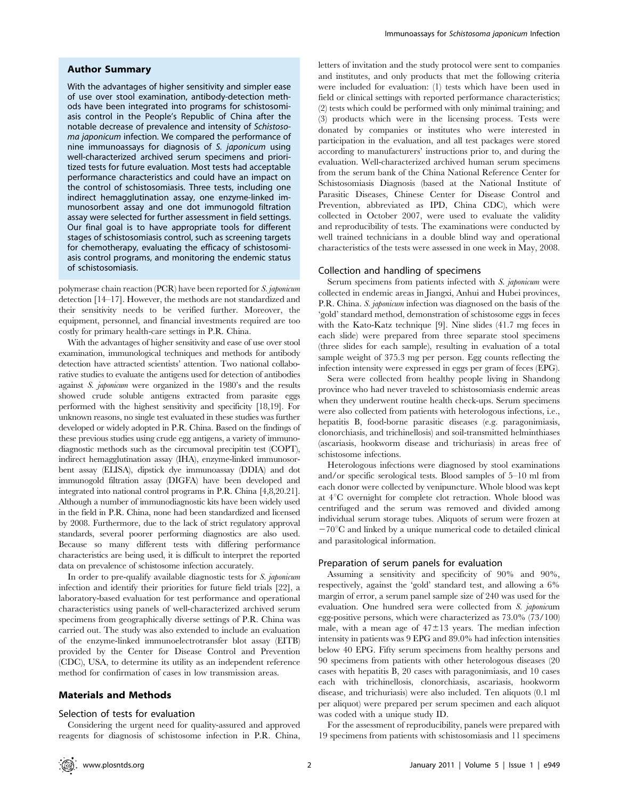#### Author Summary

With the advantages of higher sensitivity and simpler ease of use over stool examination, antibody-detection methods have been integrated into programs for schistosomiasis control in the People's Republic of China after the notable decrease of prevalence and intensity of Schistosoma japonicum infection. We compared the performance of nine immunoassays for diagnosis of S. japonicum using well-characterized archived serum specimens and prioritized tests for future evaluation. Most tests had acceptable performance characteristics and could have an impact on the control of schistosomiasis. Three tests, including one indirect hemagglutination assay, one enzyme-linked immunosorbent assay and one dot immunogold filtration assay were selected for further assessment in field settings. Our final goal is to have appropriate tools for different stages of schistosomiasis control, such as screening targets for chemotherapy, evaluating the efficacy of schistosomiasis control programs, and monitoring the endemic status of schistosomiasis.

polymerase chain reaction (PCR) have been reported for S. japonicum detection [14–17]. However, the methods are not standardized and their sensitivity needs to be verified further. Moreover, the equipment, personnel, and financial investments required are too costly for primary health-care settings in P.R. China.

With the advantages of higher sensitivity and ease of use over stool examination, immunological techniques and methods for antibody detection have attracted scientists' attention. Two national collaborative studies to evaluate the antigens used for detection of antibodies against S. japonicum were organized in the 1980's and the results showed crude soluble antigens extracted from parasite eggs performed with the highest sensitivity and specificity [18,19]. For unknown reasons, no single test evaluated in these studies was further developed or widely adopted in P.R. China. Based on the findings of these previous studies using crude egg antigens, a variety of immunodiagnostic methods such as the circumoval precipitin test (COPT), indirect hemagglutination assay (IHA), enzyme-linked immunosorbent assay (ELISA), dipstick dye immunoassay (DDIA) and dot immunogold filtration assay (DIGFA) have been developed and integrated into national control programs in P.R. China [4,8,20.21]. Although a number of immunodiagnostic kits have been widely used in the field in P.R. China, none had been standardized and licensed by 2008. Furthermore, due to the lack of strict regulatory approval standards, several poorer performing diagnostics are also used. Because so many different tests with differing performance characteristics are being used, it is difficult to interpret the reported data on prevalence of schistosome infection accurately.

In order to pre-qualify available diagnostic tests for S. japonicum infection and identify their priorities for future field trials [22], a laboratory-based evaluation for test performance and operational characteristics using panels of well-characterized archived serum specimens from geographically diverse settings of P.R. China was carried out. The study was also extended to include an evaluation of the enzyme-linked immunoelectrotransfer blot assay (EITB) provided by the Center for Disease Control and Prevention (CDC), USA, to determine its utility as an independent reference method for confirmation of cases in low transmission areas.

## Materials and Methods

#### Selection of tests for evaluation

Considering the urgent need for quality-assured and approved reagents for diagnosis of schistosome infection in P.R. China,

letters of invitation and the study protocol were sent to companies and institutes, and only products that met the following criteria were included for evaluation: (1) tests which have been used in field or clinical settings with reported performance characteristics; (2) tests which could be performed with only minimal training; and (3) products which were in the licensing process. Tests were donated by companies or institutes who were interested in participation in the evaluation, and all test packages were stored according to manufacturers' instructions prior to, and during the evaluation. Well-characterized archived human serum specimens from the serum bank of the China National Reference Center for Schistosomiasis Diagnosis (based at the National Institute of Parasitic Diseases, Chinese Center for Disease Control and Prevention, abbreviated as IPD, China CDC), which were collected in October 2007, were used to evaluate the validity and reproducibility of tests. The examinations were conducted by well trained technicians in a double blind way and operational characteristics of the tests were assessed in one week in May, 2008.

#### Collection and handling of specimens

Serum specimens from patients infected with S. japonicum were collected in endemic areas in Jiangxi, Anhui and Hubei provinces, P.R. China. S. *japonicum* infection was diagnosed on the basis of the 'gold' standard method, demonstration of schistosome eggs in feces with the Kato-Katz technique [9]. Nine slides (41.7 mg feces in each slide) were prepared from three separate stool specimens (three slides for each sample), resulting in evaluation of a total sample weight of 375.3 mg per person. Egg counts reflecting the infection intensity were expressed in eggs per gram of feces (EPG).

Sera were collected from healthy people living in Shandong province who had never traveled to schistosomiasis endemic areas when they underwent routine health check-ups. Serum specimens were also collected from patients with heterologous infections, i.e., hepatitis B, food-borne parasitic diseases (e.g. paragonimiasis, clonorchiasis, and trichinellosis) and soil-transmitted helminthiases (ascariasis, hookworm disease and trichuriasis) in areas free of schistosome infections.

Heterologous infections were diagnosed by stool examinations and/or specific serological tests. Blood samples of 5–10 ml from each donor were collected by venipuncture. Whole blood was kept at  $4^{\circ}$ C overnight for complete clot retraction. Whole blood was centrifuged and the serum was removed and divided among individual serum storage tubes. Aliquots of serum were frozen at  $-70^{\circ}$ C and linked by a unique numerical code to detailed clinical and parasitological information.

#### Preparation of serum panels for evaluation

Assuming a sensitivity and specificity of 90% and 90%, respectively, against the 'gold' standard test, and allowing a 6% margin of error, a serum panel sample size of 240 was used for the evaluation. One hundred sera were collected from S. japonicum egg-positive persons, which were characterized as 73.0% (73/100) male, with a mean age of  $47\pm13$  years. The median infection intensity in patients was 9 EPG and 89.0% had infection intensities below 40 EPG. Fifty serum specimens from healthy persons and 90 specimens from patients with other heterologous diseases (20 cases with hepatitis B, 20 cases with paragonimiasis, and 10 cases each with trichinellosis, clonorchiasis, ascariasis, hookworm disease, and trichuriasis) were also included. Ten aliquots (0.1 ml per aliquot) were prepared per serum specimen and each aliquot was coded with a unique study ID.

For the assessment of reproducibility, panels were prepared with 19 specimens from patients with schistosomiasis and 11 specimens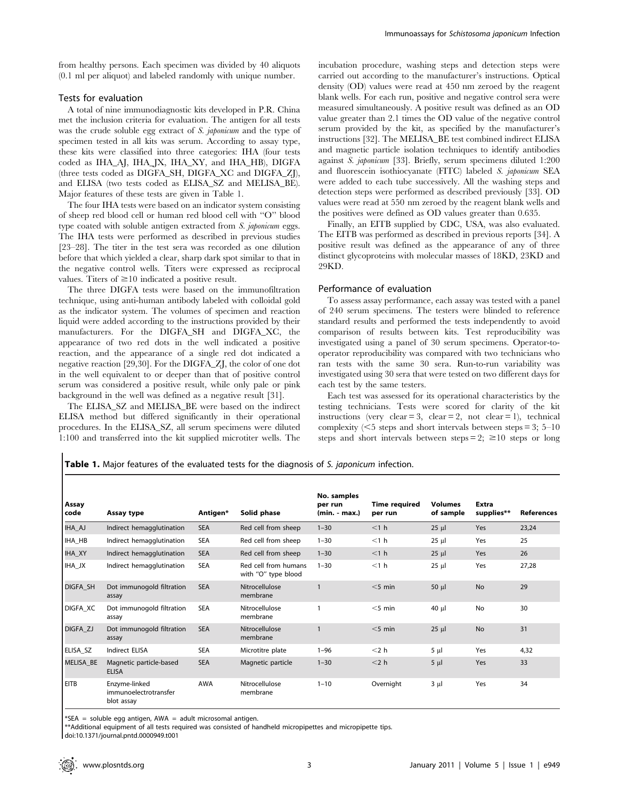from healthy persons. Each specimen was divided by 40 aliquots (0.1 ml per aliquot) and labeled randomly with unique number.

#### Tests for evaluation

A total of nine immunodiagnostic kits developed in P.R. China met the inclusion criteria for evaluation. The antigen for all tests was the crude soluble egg extract of S. *japonicum* and the type of specimen tested in all kits was serum. According to assay type, these kits were classified into three categories: IHA (four tests coded as IHA\_AJ, IHA\_JX, IHA\_XY, and IHA\_HB), DIGFA (three tests coded as DIGFA\_SH, DIGFA\_XC and DIGFA\_ZJ), and ELISA (two tests coded as ELISA\_SZ and MELISA\_BE). Major features of these tests are given in Table 1.

The four IHA tests were based on an indicator system consisting of sheep red blood cell or human red blood cell with ''O'' blood type coated with soluble antigen extracted from S. japonicum eggs. The IHA tests were performed as described in previous studies [23–28]. The titer in the test sera was recorded as one dilution before that which yielded a clear, sharp dark spot similar to that in the negative control wells. Titers were expressed as reciprocal values. Titers of  $\geq 10$  indicated a positive result.

The three DIGFA tests were based on the immunofiltration technique, using anti-human antibody labeled with colloidal gold as the indicator system. The volumes of specimen and reaction liquid were added according to the instructions provided by their manufacturers. For the DIGFA\_SH and DIGFA\_XC, the appearance of two red dots in the well indicated a positive reaction, and the appearance of a single red dot indicated a negative reaction [29,30]. For the DIGFA\_ZJ, the color of one dot in the well equivalent to or deeper than that of positive control serum was considered a positive result, while only pale or pink background in the well was defined as a negative result [31].

The ELISA\_SZ and MELISA\_BE were based on the indirect ELISA method but differed significantly in their operational procedures. In the ELISA\_SZ, all serum specimens were diluted 1:100 and transferred into the kit supplied microtiter wells. The

incubation procedure, washing steps and detection steps were carried out according to the manufacturer's instructions. Optical density (OD) values were read at 450 nm zeroed by the reagent blank wells. For each run, positive and negative control sera were measured simultaneously. A positive result was defined as an OD value greater than 2.1 times the OD value of the negative control serum provided by the kit, as specified by the manufacturer's instructions [32]. The MELISA\_BE test combined indirect ELISA and magnetic particle isolation techniques to identify antibodies against S. japonicum [33]. Briefly, serum specimens diluted 1:200 and fluorescein isothiocyanate (FITC) labeled S. japonicum SEA were added to each tube successively. All the washing steps and detection steps were performed as described previously [33]. OD values were read at 550 nm zeroed by the reagent blank wells and the positives were defined as OD values greater than 0.635.

Finally, an EITB supplied by CDC, USA, was also evaluated. The EITB was performed as described in previous reports [34]. A positive result was defined as the appearance of any of three distinct glycoproteins with molecular masses of 18KD, 23KD and 29KD.

#### Performance of evaluation

To assess assay performance, each assay was tested with a panel of 240 serum specimens. The testers were blinded to reference standard results and performed the tests independently to avoid comparison of results between kits. Test reproducibility was investigated using a panel of 30 serum specimens. Operator-tooperator reproducibility was compared with two technicians who ran tests with the same 30 sera. Run-to-run variability was investigated using 30 sera that were tested on two different days for each test by the same testers.

Each test was assessed for its operational characteristics by the testing technicians. Tests were scored for clarity of the kit instructions (very clear = 3, clear = 2, not clear = 1), technical complexity ( $\leq$ 5 steps and short intervals between steps = 3; 5–10 steps and short intervals between steps = 2;  $\geq 10$  steps or long

Table 1. Major features of the evaluated tests for the diagnosis of S. japonicum infection.

| Assay<br>code   | Assay type                                           | Antigen*   | Solid phase                                 | No. samples<br>per run<br>(min. - max.) | <b>Time required</b><br>per run | <b>Volumes</b><br>of sample | <b>Extra</b><br>supplies** | <b>References</b> |
|-----------------|------------------------------------------------------|------------|---------------------------------------------|-----------------------------------------|---------------------------------|-----------------------------|----------------------------|-------------------|
| IHA_AJ          | Indirect hemagglutination                            | <b>SEA</b> | Red cell from sheep                         | $1 - 30$                                | <1 h                            | $25 \mu$                    | Yes                        | 23,24             |
| IHA_HB          | Indirect hemagglutination                            | <b>SEA</b> | Red cell from sheep                         | $1 - 30$                                | $<$ 1 $h$                       | $25 \mu$                    | Yes                        | 25                |
| <b>IHA_XY</b>   | Indirect hemagglutination                            | <b>SEA</b> | Red cell from sheep                         | $1 - 30$                                | $<$ 1 $h$                       | $25 \mu$                    | Yes                        | 26                |
| IHA_JX          | Indirect hemagglutination                            | <b>SEA</b> | Red cell from humans<br>with "O" type blood | $1 - 30$                                | $<$ 1 $h$                       | $25 \mu$                    | Yes                        | 27,28             |
| <b>DIGFA SH</b> | Dot immunogold filtration<br>assay                   | <b>SEA</b> | Nitrocellulose<br>membrane                  | 1                                       | $<$ 5 min                       | $50 \mu l$                  | <b>No</b>                  | 29                |
| <b>DIGFA XC</b> | Dot immunogold filtration<br>assay                   | <b>SEA</b> | Nitrocellulose<br>membrane                  | $\overline{1}$                          | $<$ 5 min                       | 40 µl                       | <b>No</b>                  | 30                |
| DIGFA_ZJ        | Dot immunogold filtration<br>assay                   | <b>SEA</b> | Nitrocellulose<br>membrane                  | $\mathbf{1}$                            | $<$ 5 min                       | $25 \mu$                    | <b>No</b>                  | 31                |
| ELISA SZ        | <b>Indirect ELISA</b>                                | <b>SEA</b> | Microtitre plate                            | $1 - 96$                                | $<$ 2 h                         | $5 \mu$                     | Yes                        | 4,32              |
| MELISA BE       | Magnetic particle-based<br><b>ELISA</b>              | <b>SEA</b> | Magnetic particle                           | $1 - 30$                                | $<$ 2 h                         | $5 \mu$                     | Yes                        | 33                |
| <b>EITB</b>     | Enzyme-linked<br>immunoelectrotransfer<br>blot assay | <b>AWA</b> | Nitrocellulose<br>membrane                  | $1 - 10$                                | Overnight                       | $3 \mu$                     | Yes                        | 34                |

\*SEA = soluble egg antigen,  $AWA =$  adult microsomal antigen.

\*\*Additional equipment of all tests required was consisted of handheld micropipettes and micropipette tips.

doi:10.1371/journal.pntd.0000949.t001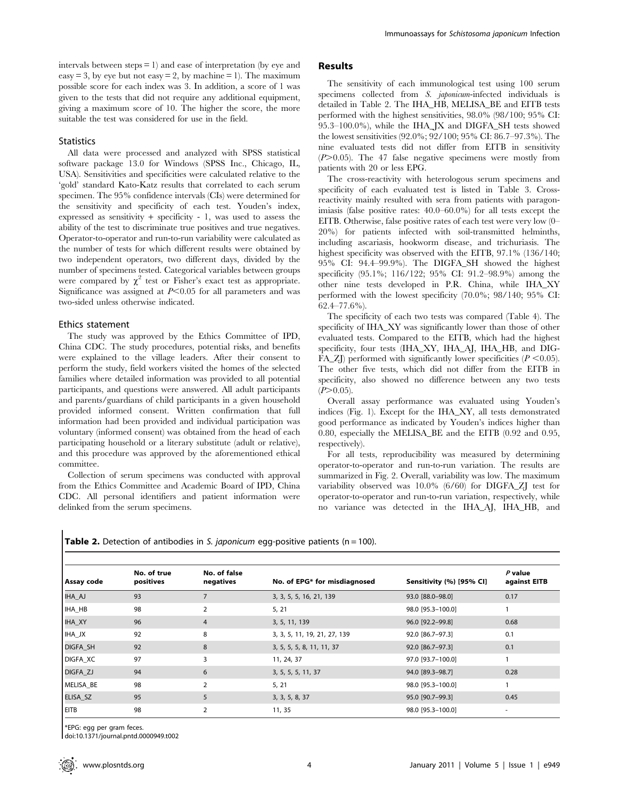intervals between  $steps = 1$ ) and ease of interpretation (by eye and easy = 3, by eye but not easy = 2, by machine = 1). The maximum possible score for each index was 3. In addition, a score of 1 was given to the tests that did not require any additional equipment, giving a maximum score of 10. The higher the score, the more suitable the test was considered for use in the field.

#### **Statistics**

All data were processed and analyzed with SPSS statistical software package 13.0 for Windows (SPSS Inc., Chicago, IL, USA). Sensitivities and specificities were calculated relative to the 'gold' standard Kato-Katz results that correlated to each serum specimen. The 95% confidence intervals (CIs) were determined for the sensitivity and specificity of each test. Youden's index, expressed as sensitivity  $+$  specificity  $-1$ , was used to assess the ability of the test to discriminate true positives and true negatives. Operator-to-operator and run-to-run variability were calculated as the number of tests for which different results were obtained by two independent operators, two different days, divided by the number of specimens tested. Categorical variables between groups were compared by  $\chi^2$  test or Fisher's exact test as appropriate. Significance was assigned at  $P<0.05$  for all parameters and was two-sided unless otherwise indicated.

#### Ethics statement

The study was approved by the Ethics Committee of IPD, China CDC. The study procedures, potential risks, and benefits were explained to the village leaders. After their consent to perform the study, field workers visited the homes of the selected families where detailed information was provided to all potential participants, and questions were answered. All adult participants and parents/guardians of child participants in a given household provided informed consent. Written confirmation that full information had been provided and individual participation was voluntary (informed consent) was obtained from the head of each participating household or a literary substitute (adult or relative), and this procedure was approved by the aforementioned ethical committee.

Collection of serum specimens was conducted with approval from the Ethics Committee and Academic Board of IPD, China CDC. All personal identifiers and patient information were delinked from the serum specimens.

## Results

The sensitivity of each immunological test using 100 serum specimens collected from S. japonicum-infected individuals is detailed in Table 2. The IHA\_HB, MELISA\_BE and EITB tests performed with the highest sensitivities, 98.0% (98/100; 95% CI: 95.3–100.0%), while the IHA\_JX and DIGFA\_SH tests showed the lowest sensitivities (92.0%; 92/100; 95% CI: 86.7–97.3%). The nine evaluated tests did not differ from EITB in sensitivity  $(P>0.05)$ . The 47 false negative specimens were mostly from patients with 20 or less EPG.

The cross-reactivity with heterologous serum specimens and specificity of each evaluated test is listed in Table 3. Crossreactivity mainly resulted with sera from patients with paragonimiasis (false positive rates: 40.0–60.0%) for all tests except the EITB. Otherwise, false positive rates of each test were very low (0– 20%) for patients infected with soil-transmitted helminths, including ascariasis, hookworm disease, and trichuriasis. The highest specificity was observed with the EITB, 97.1% (136/140; 95% CI: 94.4–99.9%). The DIGFA\_SH showed the highest specificity (95.1%; 116/122; 95% CI: 91.2–98.9%) among the other nine tests developed in P.R. China, while IHA\_XY performed with the lowest specificity (70.0%; 98/140; 95% CI: 62.4–77.6%).

The specificity of each two tests was compared (Table 4). The specificity of IHA\_XY was significantly lower than those of other evaluated tests. Compared to the EITB, which had the highest specificity, four tests (IHA\_XY, IHA\_AJ, IHA\_HB, and DIG-FA\_ZJ) performed with significantly lower specificities ( $P \le 0.05$ ). The other five tests, which did not differ from the EITB in specificity, also showed no difference between any two tests  $(P>0.05)$ .

Overall assay performance was evaluated using Youden's indices (Fig. 1). Except for the IHA\_XY, all tests demonstrated good performance as indicated by Youden's indices higher than 0.80, especially the MELISA\_BE and the EITB (0.92 and 0.95, respectively).

For all tests, reproducibility was measured by determining operator-to-operator and run-to-run variation. The results are summarized in Fig. 2. Overall, variability was low. The maximum variability observed was 10.0% (6/60) for DIGFA\_ZJ test for operator-to-operator and run-to-run variation, respectively, while no variance was detected in the IHA\_AJ, IHA\_HB, and

| <b>Table 2.</b> Detection of antibodies in S. japonicum egg-positive patients ( $n = 100$ ). |  |  |  |  |  |
|----------------------------------------------------------------------------------------------|--|--|--|--|--|
|----------------------------------------------------------------------------------------------|--|--|--|--|--|

| Assay code      | No. of true<br>positives | No. of false<br>negatives | No. of EPG* for misdiagnosed | Sensitivity (%) [95% CI] | $P$ value<br>against EITB |  |
|-----------------|--------------------------|---------------------------|------------------------------|--------------------------|---------------------------|--|
|                 |                          |                           |                              |                          |                           |  |
| IHA_AJ          | 93                       |                           | 3, 3, 5, 5, 16, 21, 139      | 93.0 [88.0-98.0]         | 0.17                      |  |
| IHA_HB          | 98                       | $\overline{2}$            | 5, 21                        | 98.0 [95.3-100.0]        |                           |  |
| IHA_XY          | 96                       | $\overline{4}$            | 3, 5, 11, 139                | 96.0 [92.2-99.8]         | 0.68                      |  |
| IHA_JX          | 92                       | 8                         | 3, 3, 5, 11, 19, 21, 27, 139 | 92.0 [86.7-97.3]         | 0.1                       |  |
| DIGFA_SH        | 92                       | 8                         | 3, 5, 5, 5, 8, 11, 11, 37    | 92.0 [86.7-97.3]         | 0.1                       |  |
| <b>DIGFA XC</b> | 97                       | 3                         | 11, 24, 37                   | 97.0 [93.7-100.0]        |                           |  |
| <b>DIGFA ZJ</b> | 94                       | 6                         | 3, 5, 5, 5, 11, 37           | 94.0 [89.3-98.7]         | 0.28                      |  |
| MELISA BE       | 98                       | $\mathcal{P}$             | 5, 21                        | 98.0 [95.3-100.0]        |                           |  |
| ELISA SZ        | 95                       | 5                         | 3, 3, 5, 8, 37               | 95.0 [90.7-99.3]         | 0.45                      |  |
| <b>EITB</b>     | 98                       | $\overline{2}$            | 11, 35                       | 98.0 [95.3-100.0]        | $\blacksquare$            |  |

\*EPG: egg per gram feces.

doi:10.1371/journal.pntd.0000949.t002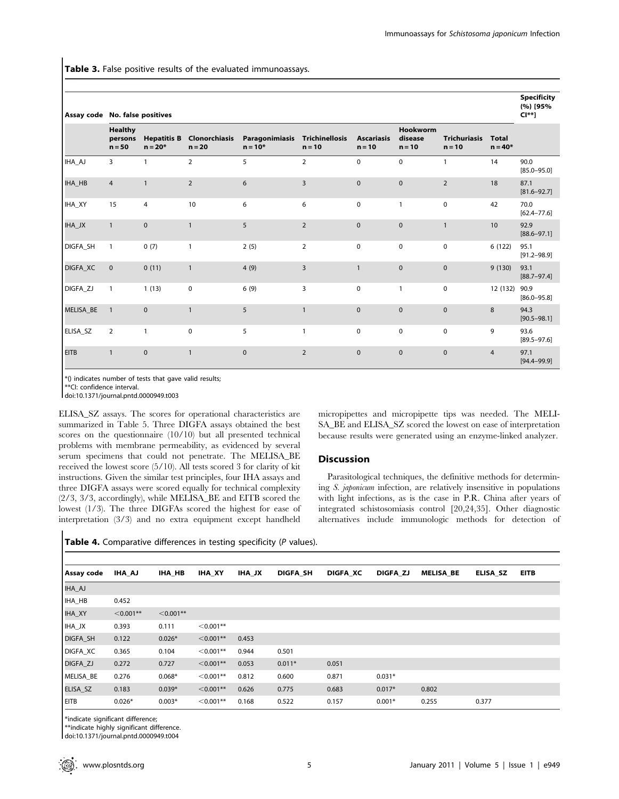Table 3. False positive results of the evaluated immunoassays.

|             |                                       | Assay code No. false positives  |                           |                             |                                   |                               |                                        |                                 |                           |                         |
|-------------|---------------------------------------|---------------------------------|---------------------------|-----------------------------|-----------------------------------|-------------------------------|----------------------------------------|---------------------------------|---------------------------|-------------------------|
|             | <b>Healthy</b><br>persons<br>$n = 50$ | <b>Hepatitis B</b><br>$n = 20*$ | Clonorchiasis<br>$n = 20$ | Paragonimiasis<br>$n = 10*$ | <b>Trichinellosis</b><br>$n = 10$ | <b>Ascariasis</b><br>$n = 10$ | <b>Hookworm</b><br>disease<br>$n = 10$ | <b>Trichuriasis</b><br>$n = 10$ | <b>Total</b><br>$n = 40*$ |                         |
| IHA_AJ      | $\overline{3}$                        | $\mathbf{1}$                    | $\overline{2}$            | 5                           | $\overline{2}$                    | $\mathbf 0$                   | $\mathbf 0$                            | $\mathbf{1}$                    | 14                        | 90.0<br>$[85.0 - 95.0]$ |
| IHA_HB      | $\overline{4}$                        | $\overline{1}$                  | $\overline{2}$            | 6                           | $\overline{3}$                    | $\mathbf{0}$                  | $\mathbf 0$                            | $\overline{2}$                  | 18                        | 87.1<br>$[81.6 - 92.7]$ |
| IHA_XY      | 15                                    | 4                               | 10                        | 6                           | 6                                 | $\mathbf 0$                   | $\mathbf{1}$                           | $\mathbf 0$                     | 42                        | 70.0<br>$[62.4 - 77.6]$ |
| IHA_JX      | $\mathbf{1}$                          | $\pmb{0}$                       | $\mathbf{1}$              | 5                           | $\overline{2}$                    | $\mathbf{0}$                  | $\mathbf 0$                            | $\mathbf{1}$                    | 10                        | 92.9<br>$[88.6 - 97.1]$ |
| DIGFA_SH    | $\mathbf{1}$                          | 0(7)                            | $\mathbf{1}$              | 2(5)                        | $\overline{2}$                    | $\mathbf 0$                   | $\mathbf 0$                            | $\mathbf 0$                     | 6(122)                    | 95.1<br>$[91.2 - 98.9]$ |
| DIGFA_XC    | $\mathbf{0}$                          | 0(11)                           | $\mathbf{1}$              | 4(9)                        | $\overline{3}$                    | $\mathbf{1}$                  | $\pmb{0}$                              | $\mathbf 0$                     | 9(130)                    | 93.1<br>$[88.7 - 97.4]$ |
| DIGFA_ZJ    | $\mathbf{1}$                          | 1(13)                           | $\mathbf 0$               | 6(9)                        | $\mathbf{3}$                      | 0                             | $\mathbf{1}$                           | $\mathbf 0$                     | 12 (132)                  | 90.9<br>$[86.0 - 95.8]$ |
| MELISA_BE   | $\mathbf{1}$                          | $\mathbf 0$                     | $\mathbf{1}$              | 5                           | $\mathbf{1}$                      | $\Omega$                      | $\mathbf{0}$                           | $\mathbf 0$                     | 8                         | 94.3<br>$[90.5 - 98.1]$ |
| ELISA_SZ    | $\overline{2}$                        | $\mathbf{1}$                    | $\mathbf 0$               | 5                           | $\mathbf{1}$                      | $\mathbf 0$                   | $\mathbf 0$                            | $\mathbf 0$                     | 9                         | 93.6<br>$[89.5 - 97.6]$ |
| <b>EITB</b> | $\mathbf{1}$                          | $\pmb{0}$                       | $\mathbf{1}$              | $\mathbf{0}$                | $\overline{2}$                    | $\mathbf{0}$                  | $\mathbf{0}$                           | $\mathbf{0}$                    | $\overline{4}$            | 97.1<br>$[94.4 - 99.9]$ |

\*() indicates number of tests that gave valid results;

\*\*CI: confidence interval.

doi:10.1371/journal.pntd.0000949.t003

ELISA\_SZ assays. The scores for operational characteristics are summarized in Table 5. Three DIGFA assays obtained the best scores on the questionnaire (10/10) but all presented technical problems with membrane permeability, as evidenced by several serum specimens that could not penetrate. The MELISA\_BE received the lowest score (5/10). All tests scored 3 for clarity of kit instructions. Given the similar test principles, four IHA assays and three DIGFA assays were scored equally for technical complexity (2/3, 3/3, accordingly), while MELISA\_BE and EITB scored the lowest (1/3). The three DIGFAs scored the highest for ease of interpretation (3/3) and no extra equipment except handheld micropipettes and micropipette tips was needed. The MELI-SA\_BE and ELISA\_SZ scored the lowest on ease of interpretation because results were generated using an enzyme-linked analyzer.

#### **Discussion**

Parasitological techniques, the definitive methods for determining S. japonicum infection, are relatively insensitive in populations with light infections, as is the case in P.R. China after years of integrated schistosomiasis control [20,24,35]. Other diagnostic alternatives include immunologic methods for detection of

Table 4. Comparative differences in testing specificity (P values).

| Assay code  | IHA AJ      | <b>IHA HB</b> | <b>IHA XY</b> | <b>IHA JX</b> | <b>DIGFA SH</b> | <b>DIGFA XC</b> | DIGFA ZJ | <b>MELISA BE</b> | ELISA SZ | <b>EITB</b> |
|-------------|-------------|---------------|---------------|---------------|-----------------|-----------------|----------|------------------|----------|-------------|
| IHA_AJ      |             |               |               |               |                 |                 |          |                  |          |             |
| IHA_HB      | 0.452       |               |               |               |                 |                 |          |                  |          |             |
| IHA_XY      | $< 0.001**$ | $< 0.001**$   |               |               |                 |                 |          |                  |          |             |
| IHA_JX      | 0.393       | 0.111         | $< 0.001**$   |               |                 |                 |          |                  |          |             |
| DIGFA_SH    | 0.122       | $0.026*$      | $< 0.001**$   | 0.453         |                 |                 |          |                  |          |             |
| DIGFA_XC    | 0.365       | 0.104         | $< 0.001**$   | 0.944         | 0.501           |                 |          |                  |          |             |
| DIGFA_ZJ    | 0.272       | 0.727         | $< 0.001**$   | 0.053         | $0.011*$        | 0.051           |          |                  |          |             |
| MELISA_BE   | 0.276       | $0.068*$      | $< 0.001**$   | 0.812         | 0.600           | 0.871           | $0.031*$ |                  |          |             |
| ELISA_SZ    | 0.183       | $0.039*$      | $< 0.001**$   | 0.626         | 0.775           | 0.683           | $0.017*$ | 0.802            |          |             |
| <b>EITB</b> | $0.026*$    | $0.003*$      | $< 0.001**$   | 0.168         | 0.522           | 0.157           | $0.001*$ | 0.255            | 0.377    |             |

\*indicate significant difference;

\*\*indicate highly significant difference.

doi:10.1371/journal.pntd.0000949.t004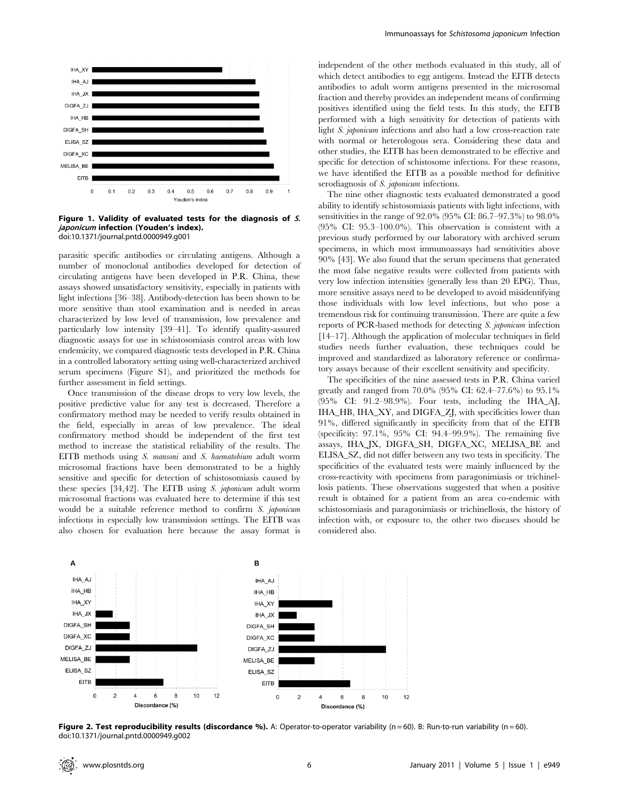

Figure 1. Validity of evaluated tests for the diagnosis of S. japonicum infection (Youden's index). doi:10.1371/journal.pntd.0000949.g001

parasitic specific antibodies or circulating antigens. Although a number of monoclonal antibodies developed for detection of circulating antigens have been developed in P.R. China, these assays showed unsatisfactory sensitivity, especially in patients with light infections [36–38]. Antibody-detection has been shown to be more sensitive than stool examination and is needed in areas characterized by low level of transmission, low prevalence and particularly low intensity [39–41]. To identify quality-assured diagnostic assays for use in schistosomiasis control areas with low endemicity, we compared diagnostic tests developed in P.R. China in a controlled laboratory setting using well-characterized archived serum specimens (Figure S1), and prioritized the methods for further assessment in field settings.

Once transmission of the disease drops to very low levels, the positive predictive value for any test is decreased. Therefore a confirmatory method may be needed to verify results obtained in the field, especially in areas of low prevalence. The ideal confirmatory method should be independent of the first test method to increase the statistical reliability of the results. The EITB methods using S. mansoni and S. haematobium adult worm microsomal fractions have been demonstrated to be a highly sensitive and specific for detection of schistosomiasis caused by these species [34,42]. The EITB using S. japonicum adult worm microsomal fractions was evaluated here to determine if this test would be a suitable reference method to confirm S. japonicum infections in especially low transmission settings. The EITB was also chosen for evaluation here because the assay format is

independent of the other methods evaluated in this study, all of which detect antibodies to egg antigens. Instead the EITB detects antibodies to adult worm antigens presented in the microsomal fraction and thereby provides an independent means of confirming positives identified using the field tests. In this study, the EITB performed with a high sensitivity for detection of patients with light S. japonicum infections and also had a low cross-reaction rate with normal or heterologous sera. Considering these data and other studies, the EITB has been demonstrated to be effective and specific for detection of schistosome infections. For these reasons, we have identified the EITB as a possible method for definitive serodiagnosis of S. *japonicum* infections.

The nine other diagnostic tests evaluated demonstrated a good ability to identify schistosomiasis patients with light infections, with sensitivities in the range of 92.0% (95% CI: 86.7–97.3%) to 98.0% (95% CI: 95.3–100.0%). This observation is consistent with a previous study performed by our laboratory with archived serum specimens, in which most immunoassays had sensitivities above 90% [43]. We also found that the serum specimens that generated the most false negative results were collected from patients with very low infection intensities (generally less than 20 EPG). Thus, more sensitive assays need to be developed to avoid misidentifying those individuals with low level infections, but who pose a tremendous risk for continuing transmission. There are quite a few reports of PCR-based methods for detecting S. japonicum infection [14–17]. Although the application of molecular techniques in field studies needs further evaluation, these techniques could be improved and standardized as laboratory reference or confirmatory assays because of their excellent sensitivity and specificity.

The specificities of the nine assessed tests in P.R. China varied greatly and ranged from 70.0% (95% CI: 62.4–77.6%) to 95.1% (95% CI: 91.2–98.9%). Four tests, including the IHA\_AJ, IHA\_HB, IHA\_XY, and DIGFA\_ZJ, with specificities lower than 91%, differed significantly in specificity from that of the EITB (specificity: 97.1%, 95% CI: 94.4–99.9%). The remaining five assays, IHA\_JX, DIGFA\_SH, DIGFA\_XC, MELISA\_BE and ELISA\_SZ, did not differ between any two tests in specificity. The specificities of the evaluated tests were mainly influenced by the cross-reactivity with specimens from paragonimiasis or trichinellosis patients. These observations suggested that when a positive result is obtained for a patient from an area co-endemic with schistosomiasis and paragonimiasis or trichinellosis, the history of infection with, or exposure to, the other two diseases should be considered also.



Figure 2. Test reproducibility results (discordance %). A: Operator-to-operator variability (n = 60). B: Run-to-run variability (n = 60). doi:10.1371/journal.pntd.0000949.g002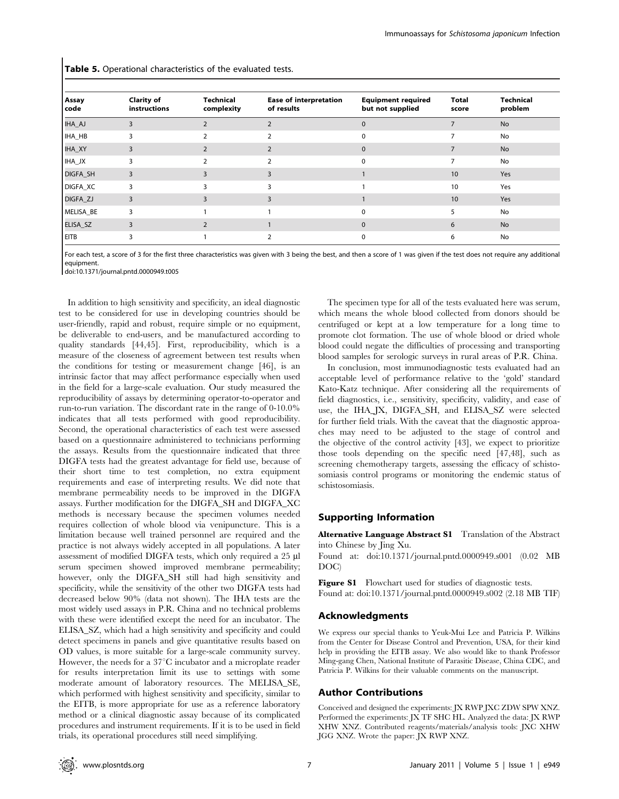Table 5. Operational characteristics of the evaluated tests.

| <b>Assay</b><br>  code | <b>Clarity of</b><br>instructions | Technical<br>complexity | <b>Ease of interpretation</b><br>of results | <b>Equipment required</b><br>but not supplied | <b>Total</b><br>score | <b>Technical</b><br>problem |
|------------------------|-----------------------------------|-------------------------|---------------------------------------------|-----------------------------------------------|-----------------------|-----------------------------|
| IHA_AJ                 | 3                                 | $\overline{2}$          | 2                                           | $\mathbf{0}$                                  | 7                     | <b>No</b>                   |
| IHA_HB                 | 3                                 | $\mathcal{P}$           | $\mathcal{P}$                               | $\Omega$                                      |                       | No                          |
| IHA_XY                 | 3                                 | 2                       | 2                                           | $\mathbf{0}$                                  | 7                     | <b>No</b>                   |
| IHA_JX                 | 3                                 | $\overline{2}$          |                                             | $\Omega$                                      |                       | No                          |
| DIGFA_SH               | 3                                 | 3                       | 3                                           |                                               | 10                    | Yes                         |
| DIGFA_XC               | 3                                 | 3                       |                                             |                                               | 10                    | Yes                         |
| DIGFA_ZJ               | 3                                 | 3                       |                                             |                                               | 10                    | Yes                         |
| MELISA_BE              |                                   |                         |                                             | $\Omega$                                      | 5                     | No                          |
| ELISA_SZ               | 3                                 | $\overline{2}$          |                                             | $\mathbf{0}$                                  | 6                     | <b>No</b>                   |
| <b>EITB</b>            |                                   |                         |                                             | $\Omega$                                      | 6                     | No                          |

For each test, a score of 3 for the first three characteristics was given with 3 being the best, and then a score of 1 was given if the test does not require any additional equipment.

doi:10.1371/journal.pntd.0000949.t005

In addition to high sensitivity and specificity, an ideal diagnostic test to be considered for use in developing countries should be user-friendly, rapid and robust, require simple or no equipment, be deliverable to end-users, and be manufactured according to quality standards [44,45]. First, reproducibility, which is a measure of the closeness of agreement between test results when the conditions for testing or measurement change [46], is an intrinsic factor that may affect performance especially when used in the field for a large-scale evaluation. Our study measured the reproducibility of assays by determining operator-to-operator and run-to-run variation. The discordant rate in the range of 0-10.0% indicates that all tests performed with good reproducibility. Second, the operational characteristics of each test were assessed based on a questionnaire administered to technicians performing the assays. Results from the questionnaire indicated that three DIGFA tests had the greatest advantage for field use, because of their short time to test completion, no extra equipment requirements and ease of interpreting results. We did note that membrane permeability needs to be improved in the DIGFA assays. Further modification for the DIGFA\_SH and DIGFA\_XC methods is necessary because the specimen volumes needed requires collection of whole blood via venipuncture. This is a limitation because well trained personnel are required and the practice is not always widely accepted in all populations. A later assessment of modified DIGFA tests, which only required a 25 µl serum specimen showed improved membrane permeability; however, only the DIGFA\_SH still had high sensitivity and specificity, while the sensitivity of the other two DIGFA tests had decreased below 90% (data not shown). The IHA tests are the most widely used assays in P.R. China and no technical problems with these were identified except the need for an incubator. The ELISA\_SZ, which had a high sensitivity and specificity and could detect specimens in panels and give quantitative results based on OD values, is more suitable for a large-scale community survey. However, the needs for a  $37^{\circ}$ C incubator and a microplate reader for results interpretation limit its use to settings with some moderate amount of laboratory resources. The MELISA\_SE, which performed with highest sensitivity and specificity, similar to the EITB, is more appropriate for use as a reference laboratory method or a clinical diagnostic assay because of its complicated procedures and instrument requirements. If it is to be used in field trials, its operational procedures still need simplifying.

The specimen type for all of the tests evaluated here was serum, which means the whole blood collected from donors should be centrifuged or kept at a low temperature for a long time to promote clot formation. The use of whole blood or dried whole blood could negate the difficulties of processing and transporting blood samples for serologic surveys in rural areas of P.R. China.

In conclusion, most immunodiagnostic tests evaluated had an acceptable level of performance relative to the 'gold' standard Kato-Katz technique. After considering all the requirements of field diagnostics, i.e., sensitivity, specificity, validity, and ease of use, the IHA\_JX, DIGFA\_SH, and ELISA\_SZ were selected for further field trials. With the caveat that the diagnostic approaches may need to be adjusted to the stage of control and the objective of the control activity [43], we expect to prioritize those tools depending on the specific need [47,48], such as screening chemotherapy targets, assessing the efficacy of schistosomiasis control programs or monitoring the endemic status of schistosomiasis.

#### Supporting Information

Alternative Language Abstract S1 Translation of the Abstract into Chinese by Jing Xu.

Found at: doi:10.1371/journal.pntd.0000949.s001 (0.02 MB DOC)

Figure S1 Flowchart used for studies of diagnostic tests. Found at: doi:10.1371/journal.pntd.0000949.s002 (2.18 MB TIF)

#### Acknowledgments

We express our special thanks to Yeuk-Mui Lee and Patricia P. Wilkins from the Center for Disease Control and Prevention, USA, for their kind help in providing the EITB assay. We also would like to thank Professor Ming-gang Chen, National Institute of Parasitic Disease, China CDC, and Patricia P. Wilkins for their valuable comments on the manuscript.

#### Author Contributions

Conceived and designed the experiments: JX RWP JXC ZDW SPW XNZ. Performed the experiments: JX TF SHC HL. Analyzed the data: JX RWP XHW XNZ. Contributed reagents/materials/analysis tools: JXC XHW JGG XNZ. Wrote the paper: JX RWP XNZ.